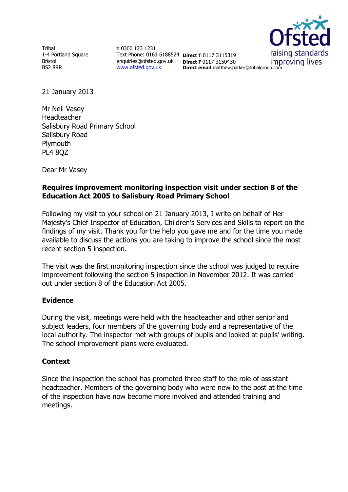Tribal 1-4 Portland Square Bristol BS2 8RR

**T** 0300 123 1231 Text Phone: 0161 6188524 **Direct T** 0117 3115319 enquiries@ofsted.gov.uk **Direct F** 0117 3150430 [www.ofsted.gov.uk](http://www.ofsted.gov.uk/)

raising standards improving lives **Direct email**:matthew.parker@tribalgroup.com

21 January 2013

Mr Neil Vasey Headteacher Salisbury Road Primary School Salisbury Road Plymouth PL4 8QZ

Dear Mr Vasey

### **Requires improvement monitoring inspection visit under section 8 of the Education Act 2005 to Salisbury Road Primary School**

Following my visit to your school on 21 January 2013, I write on behalf of Her Majesty's Chief Inspector of Education, Children's Services and Skills to report on the findings of my visit. Thank you for the help you gave me and for the time you made available to discuss the actions you are taking to improve the school since the most recent section 5 inspection.

The visit was the first monitoring inspection since the school was judged to require improvement following the section 5 inspection in November 2012. It was carried out under section 8 of the Education Act 2005.

#### **Evidence**

During the visit, meetings were held with the headteacher and other senior and subject leaders, four members of the governing body and a representative of the local authority. The inspector met with groups of pupils and looked at pupils' writing. The school improvement plans were evaluated.

#### **Context**

Since the inspection the school has promoted three staff to the role of assistant headteacher. Members of the governing body who were new to the post at the time of the inspection have now become more involved and attended training and meetings.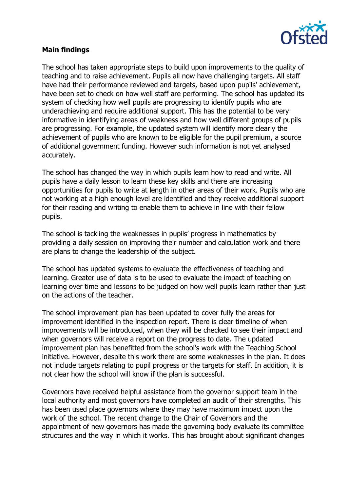

## **Main findings**

The school has taken appropriate steps to build upon improvements to the quality of teaching and to raise achievement. Pupils all now have challenging targets. All staff have had their performance reviewed and targets, based upon pupils' achievement, have been set to check on how well staff are performing. The school has updated its system of checking how well pupils are progressing to identify pupils who are underachieving and require additional support. This has the potential to be very informative in identifying areas of weakness and how well different groups of pupils are progressing. For example, the updated system will identify more clearly the achievement of pupils who are known to be eligible for the pupil premium, a source of additional government funding. However such information is not yet analysed accurately.

The school has changed the way in which pupils learn how to read and write. All pupils have a daily lesson to learn these key skills and there are increasing opportunities for pupils to write at length in other areas of their work. Pupils who are not working at a high enough level are identified and they receive additional support for their reading and writing to enable them to achieve in line with their fellow pupils.

The school is tackling the weaknesses in pupils' progress in mathematics by providing a daily session on improving their number and calculation work and there are plans to change the leadership of the subject.

The school has updated systems to evaluate the effectiveness of teaching and learning. Greater use of data is to be used to evaluate the impact of teaching on learning over time and lessons to be judged on how well pupils learn rather than just on the actions of the teacher.

The school improvement plan has been updated to cover fully the areas for improvement identified in the inspection report. There is clear timeline of when improvements will be introduced, when they will be checked to see their impact and when governors will receive a report on the progress to date. The updated improvement plan has benefitted from the school's work with the Teaching School initiative. However, despite this work there are some weaknesses in the plan. It does not include targets relating to pupil progress or the targets for staff. In addition, it is not clear how the school will know if the plan is successful.

Governors have received helpful assistance from the governor support team in the local authority and most governors have completed an audit of their strengths. This has been used place governors where they may have maximum impact upon the work of the school. The recent change to the Chair of Governors and the appointment of new governors has made the governing body evaluate its committee structures and the way in which it works. This has brought about significant changes